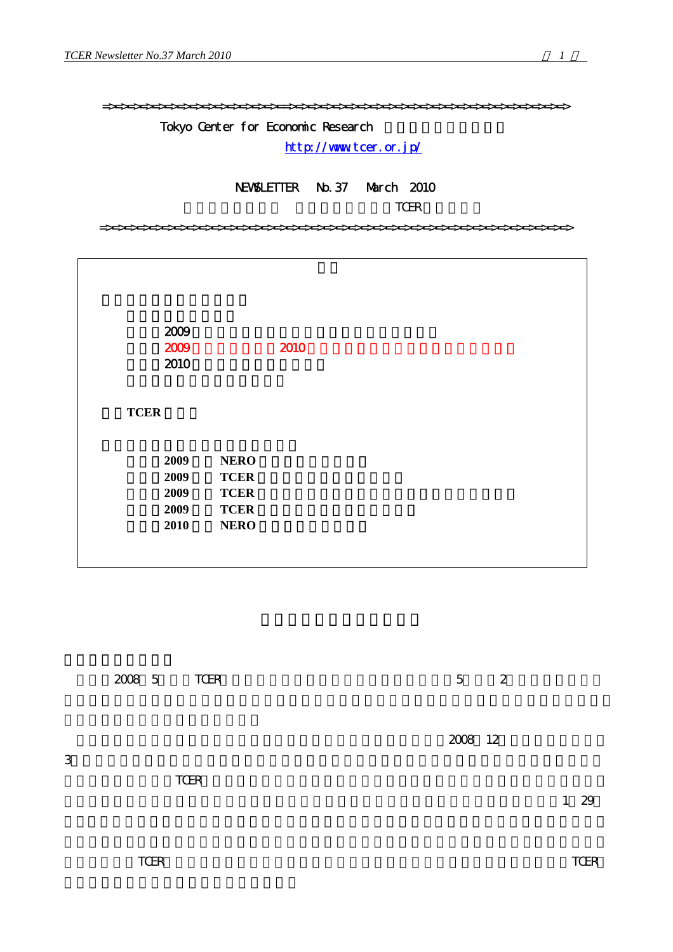=>=>=>=>=>=>=>=>=>=>=>=>=>=>==>=>=>=>=>=>=>=>=>=>=>=>=>=>=>=>=>=>=>=>=>=>=>

# Tokyo Center for Economic Research

<http://www.tcer.or.jp/>

# NEWSLETTER No.37 March 2010

TCER

=>=>=>=>=>=>=>=>=>=>=>=>=>=>=>=>=>=>=>=>=>=>=>=>=>=>=>=>=>=>=>=>=>=>=>=>=>=>

| 2009         |             | 2010 |
|--------------|-------------|------|
| 2009<br>2010 |             |      |
| <b>TCER</b>  |             |      |
| 2009         | <b>NERO</b> |      |
| 2009         | <b>TCER</b> |      |
| 2009         | <b>TCER</b> |      |
| 2009         | <b>TCER</b> |      |
| 2010         | <b>NERO</b> |      |

|   | 2008 5 | TCER |  |  |  | $\overline{5}$ | $\mathbf{2}$ |  |      |  |
|---|--------|------|--|--|--|----------------|--------------|--|------|--|
| 3 |        |      |  |  |  | 2008 12        |              |  |      |  |
|   |        | TCER |  |  |  |                |              |  | 1 29 |  |
|   |        |      |  |  |  |                |              |  |      |  |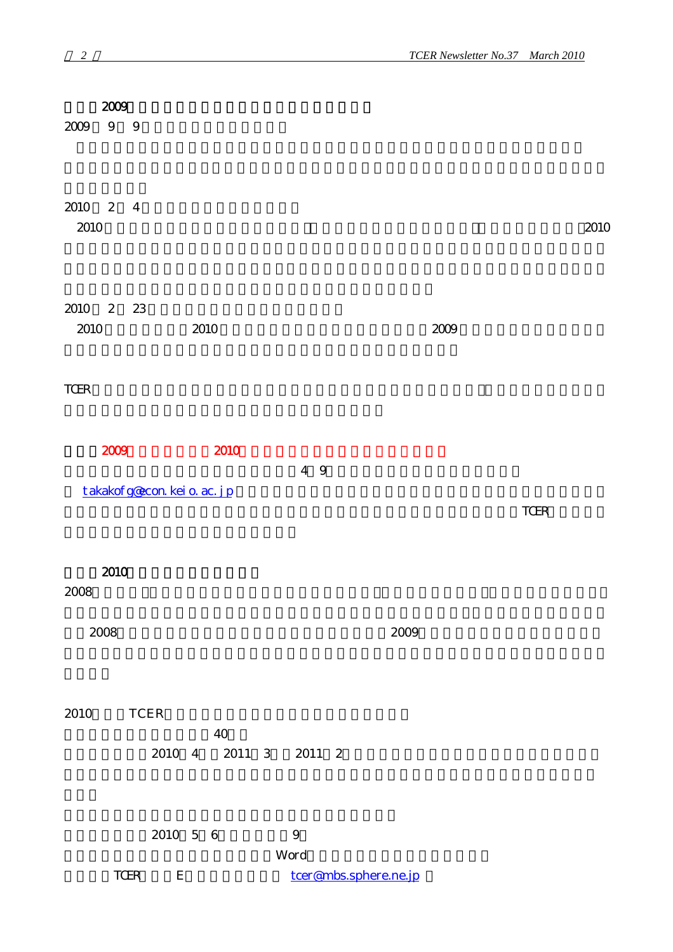| 2009                                 |                                |                  |          |                       |
|--------------------------------------|--------------------------------|------------------|----------|-----------------------|
| $\boldsymbol{9}$<br>9<br>$2009\,$    |                                |                  |          |                       |
| 2010 2 4<br>2010                     |                                |                  |          | 2010                  |
| 2010 2 23<br>2010                    | 2010                           |                  | $2009\,$ |                       |
| $\operatorname{TCER}$                |                                |                  |          |                       |
| 2009                                 | 2010                           |                  |          |                       |
| takakof g@con kei o. ac. j p         |                                | 4 9              |          | $\operatorname{TCER}$ |
| 2010<br>2008                         |                                |                  |          |                       |
| $\,2008\,$                           |                                | 2009             |          |                       |
| 2010<br>$\ensuremath{\mathsf{TCER}}$ |                                |                  |          |                       |
|                                      | $40\,$<br>2010 4 2011 3 2011 2 |                  |          |                       |
|                                      | $2010\quad 5\quad 6$           | $\boldsymbol{9}$ |          |                       |

 $Word$ 

TCER E [tcer@mbs.sphere.ne.jp](mailto:tcer@mbs.sphere.ne.jp)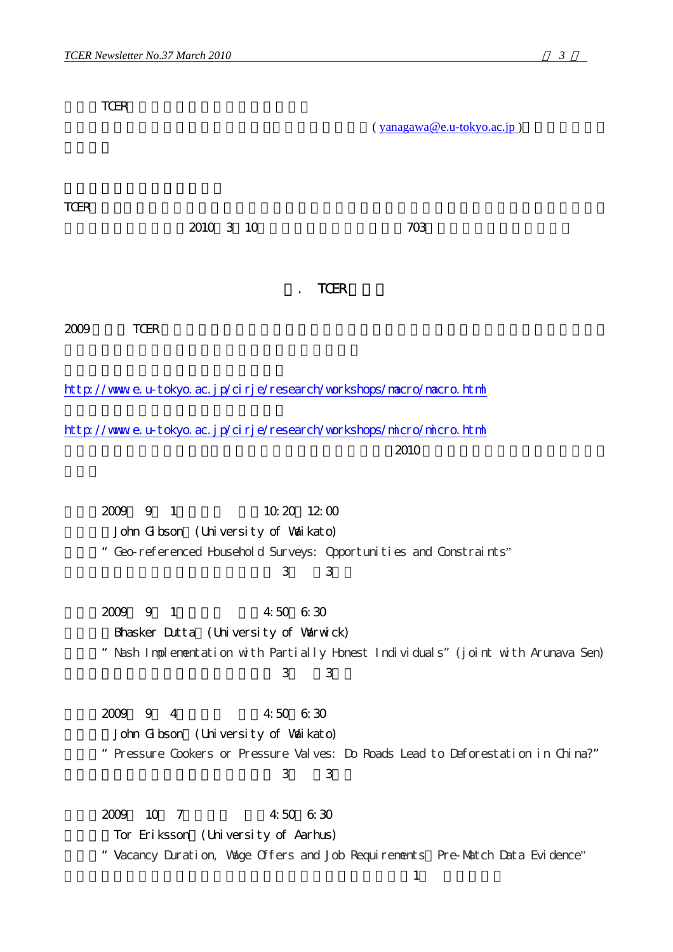TCER (yanagawa@e.u-tokyo.ac.jp) TCERでは、日本経済学会からの協力依頼を受けて同学会との共同で事務局オフィスを新規に借りる 2010年3月10日には、2010年3月10日には、2010年3月10日には、2010年3月10日には、2010年3月10日には、2010年3月10日には、2010年3月10日には、2010年3月10日には、2010年3月 **TCER**  $2009$  TCER http://www.e.u-tokyo.ac.jp/cirje/research/workshops/nacro/nacro.html <http://www.e.u-tokyo.ac.jp/cirje/research/workshops/micro/micro.html>  $2010$ 2009 9 1 10:20 12:00 John Gibson (University of Waikato) 論題:"Geo-referenced Household Surveys: Opportunities and Constraints" 場所:東京大学大学院経済学研究科棟 3階 第3教室 2009 9 1 4:50 6:30 Bhasker Dutta (University of Warwick) 論題:"Nash Implementation with Partially Honest Individuals"(joint with Arunava Sen) 場所:東京大学大学院経済学研究科棟 3階 第3教室 日時:2009年 9月 4日(金) 午後4:50~6:30 John Gibson (University of Waikato) 論題:"Pressure Cookers or Pressure Valves: Do Roads Lead to Deforestation in China?" 場所:東京大学大学院経済学研究科棟 3階 第3教室 2009 10 7 4:50 6:30 Tor Eriksson (University of Aarhus) " Vacancy Duration, Wage Offers and Job Requirements Pre-Match Data Evidence"  $\frac{1}{\sqrt{2\pi}}$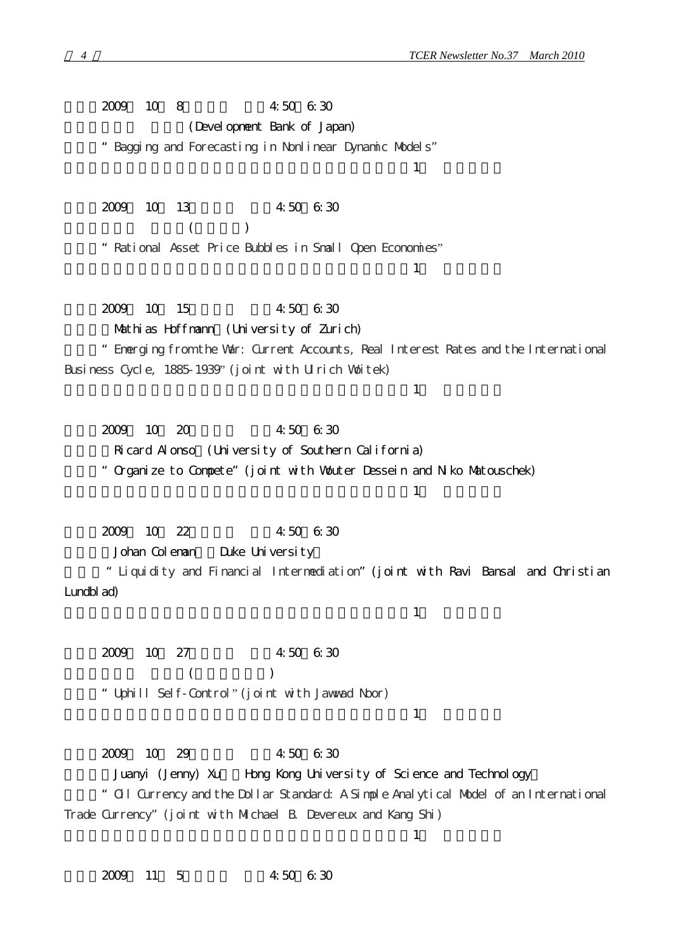2009 10 8 4:50 6:30 (Devel opment Bank of Japan) 論題:"Bagging and Forecasting in Nonlinear Dynamic Models"  $\pm$ 2009 10 13 4:50 6:30  $($ 論題:"Rational Asset Price Bubbles in Small Open Economies"  $\pm$ 2009 10 15 4:50 6:30 Mathias Hoffmann (University of Zurich) 論題:"Emerging from the War: Current Accounts, Real Interest Rates and the International Business Cycle, 1885-1939" (joint with Ulrich Woitek)  $\frac{1}{\sqrt{2\pi}}$ 2009 10 20 4:50 6:30 Ricard Alonso (University of Southern California) 論題:"Organize to Compete"(joint with Wouter Dessein and Niko Matouschek)  $\frac{1}{\sqrt{2\pi}}$ 2009 10 22 4:50 6:30 Johan Coleman Duke University 論題:"Liquidity and Financial Intermediation"(joint with Ravi Bansal and Christian Lundblad)  $\frac{1}{\sqrt{2\pi}}$ 2009 10 27 4:50 6:30  $($ 論題:"Uphill Self-Control" (joint with Jawwad Noor)  $\frac{1}{\sqrt{2\pi}}$ 2009 10 29 4:50 6:30 Juanyi (Jenny) Xu Hong Kong University of Science and Technology 論題:"Oil Currency and the Dollar Standard: A Simple Analytical Model of an International Trade Currency"(joint with Michael B. Devereux and Kang Shi)

2009 11 5 4:50 6:30

 $\frac{1}{\sqrt{2\pi}}$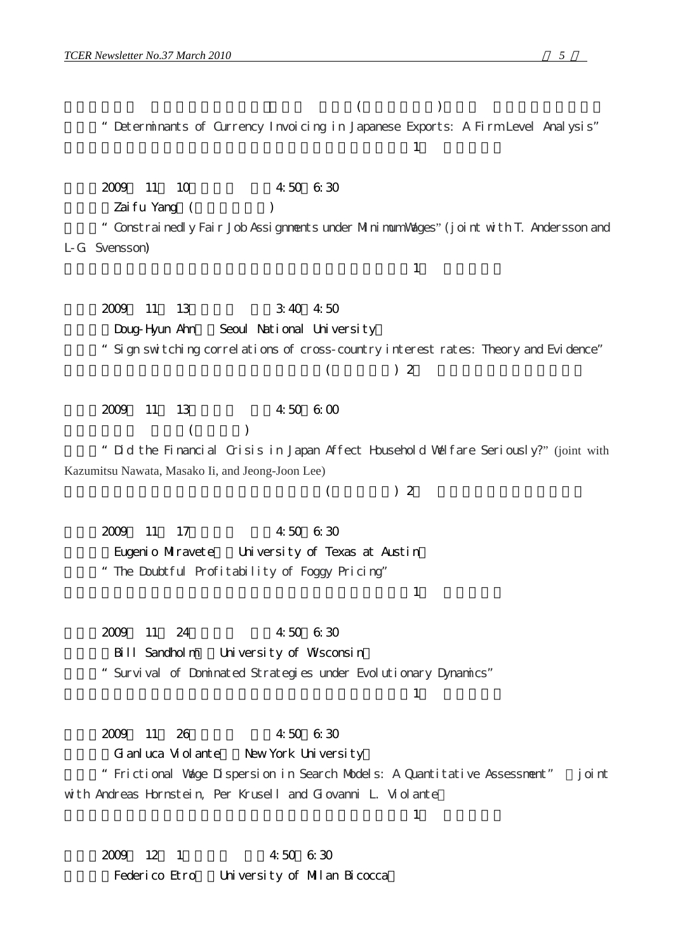論題:"Determinants of Currency Invoicing in Japanese Exports: A Firm Level Analysis"  $\frac{1}{\sqrt{2\pi}}$ 2009 11 10 4:50 6:30 Zaifu Yang (
) 論題:"Constrainedly Fair Job Assignments under Minimum Wages" (joint with T. Andersson and L-G. Svensson)  $\pm$ 2009 11 13 3:40 4:50 Doug-Hyun Ahn Seoul National University 論題:"Sign switching correlations of cross-country interest rates: Theory and Evidence"  $($   $)$  2 2009 11 13 4:50 6:00  $($ 論題:"Did the Financial Crisis in Japan Affect Household Welfare Seriously?" (joint with Kazumitsu Nawata, Masako Ii, and Jeong-Joon Lee)  $($   $)$  2 2009 11 17 4:50 6:30 Eugenio Miravete University of Texas at Austin 論題:"The Doubtful Profitability of Foggy Pricing"  $\frac{1}{\sqrt{2\pi}}$ 2009 11 24 4:50 6:30 Bill Sandholm University of Wisconsin 論題:"Survival of Dominated Strategies under Evolutionary Dynamics"  $\frac{1}{\sqrt{2\pi}}$ 2009 11 26 4:50 6:30 Gianluca Violante New York University 論題:"Frictional Wage Dispersion in Search Models: A Quantitative Assessment" (joint with Andreas Hornstein, Per Krusell and Giovanni L. Violante)  $\pm$ 2009 12 1 4:50 6:30 Federico Etro University of Milan Bicocca

 $($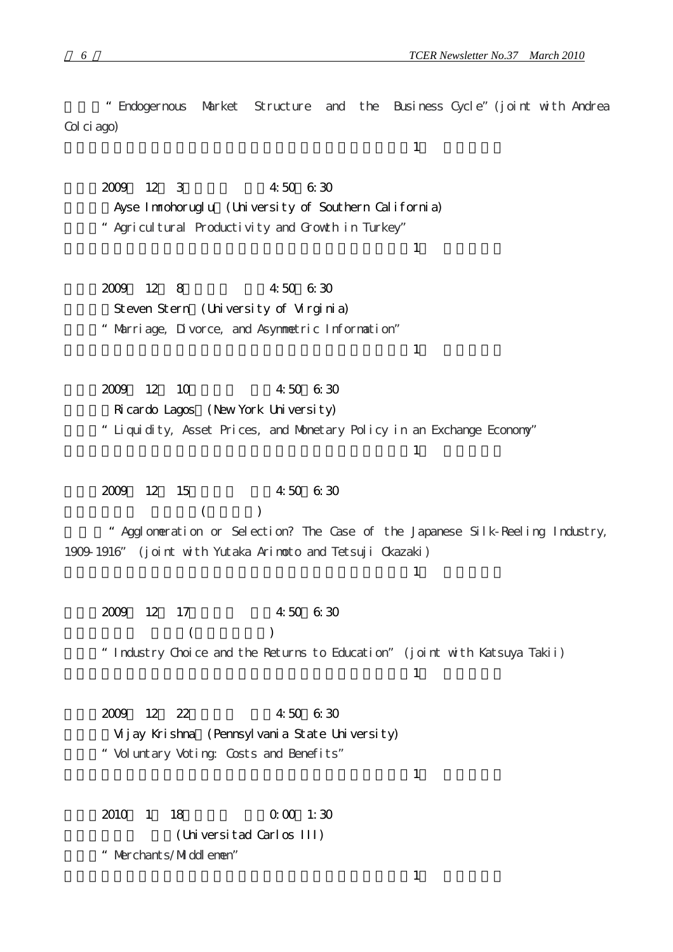論題:"Endogernous Market Structure and the Business Cycle"(joint with Andrea Col ci ago)  $\frac{1}{\sqrt{2\pi}}$ 2009 12 3 4:50 6:30 Ayse Inmohoruglu (University of Southern California) 論題:"Agricultural Productivity and Growth in Turkey"  $\frac{1}{\sqrt{2\pi}}$ 2009 12 8 4:50 6:30 Steven Stern (University of Virginia) 論題:"Marriage, Divorce, and Asymmetric Information"  $\frac{1}{\sqrt{2\pi}}$ 2009 12 10 4:50 6:30 Ricardo Lagos (New York University) 論題:"Liquidity, Asset Prices, and Monetary Policy in an Exchange Economy"  $\frac{1}{\sqrt{2\pi}}$ 2009 12 15 4:50 6:30  $($ 論題:"Agglomeration or Selection? The Case of the Japanese Silk-Reeling Industry, 1909-1916" (joint with Yutaka Arimoto and Tetsuji Okazaki)  $\pm$ 2009 12 17 4:50 6:30  $($ 論題:"Industry Choice and the Returns to Education" (joint with Katsuya Takii)  $\pm$ 2009 12 22 4:50 6:30 Vijay Krishna (Pennsylvania State University) 論題:"Voluntary Voting: Costs and Benefits"  $\frac{1}{\sqrt{2\pi}}$ 2010 1 18 0:00 1:30  $($  Universitad Carlos III)

論題:"Merchants/Middlemen"

 $\frac{1}{\sqrt{2\pi}}$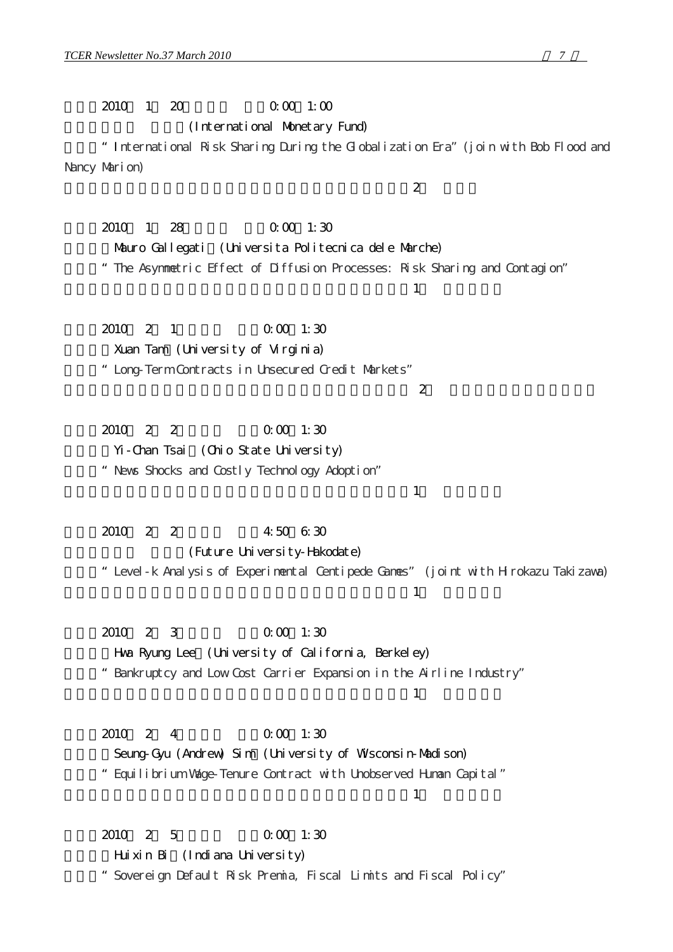2010 1 20 0:00 1:00

(International Monetary Fund)

 $\sim$  2

論題:"International Risk Sharing During the Globalization Era"(join with Bob Flood and Nancy Marion)

2010 1 28 0:00 1:30 Mauro Gallegati (Universita Politecnica dele Marche)

論題:"The Asymmetric Effect of Diffusion Processes: Risk Sharing and Contagion"

 $\frac{1}{\sqrt{2\pi}}$ 

2010 2 1 0:00 1:30 Xuan Tam (University of Virginia) 論題:"Long-Term Contracts in Unsecured Credit Markets"

 $\sim$  2

2010 2 2 0:00 1:30  $Y_i$ -Chan Tsai (Chio State University) 論題:"News Shocks and Costly Technology Adoption"

2010 2 2 4:50 6:30 (Future University-Hakodate) 論題:"Level-k Analysis of Experimental Centipede Games" (joint with Hirokazu Takizawa)  $\frac{1}{\sqrt{2\pi}}$ 

2010 2 3 0:00 1:30 Hwa Ryung Lee (University of California, Berkeley) 論題:"Bankruptcy and Low Cost Carrier Expansion in the Airline Industry"

 $\frac{1}{\sqrt{2\pi}}$ 

 $\frac{1}{\sqrt{2\pi}}$ 

日時:2010年 2月 4日(木) 午後0:00~1:30 Seung-Gyu (Andrew) Sim (University of Wisconsin-Madison) 論題:"Equilibrium Wage-Tenure Contract with Unobserved Human Capital"  $\frac{1}{\sqrt{2\pi}}$ 

2010 2 5 0:00 1:30 Huixin Bi (Indiana University) 論題:"Sovereign Default Risk Premia, Fiscal Limits and Fiscal Policy"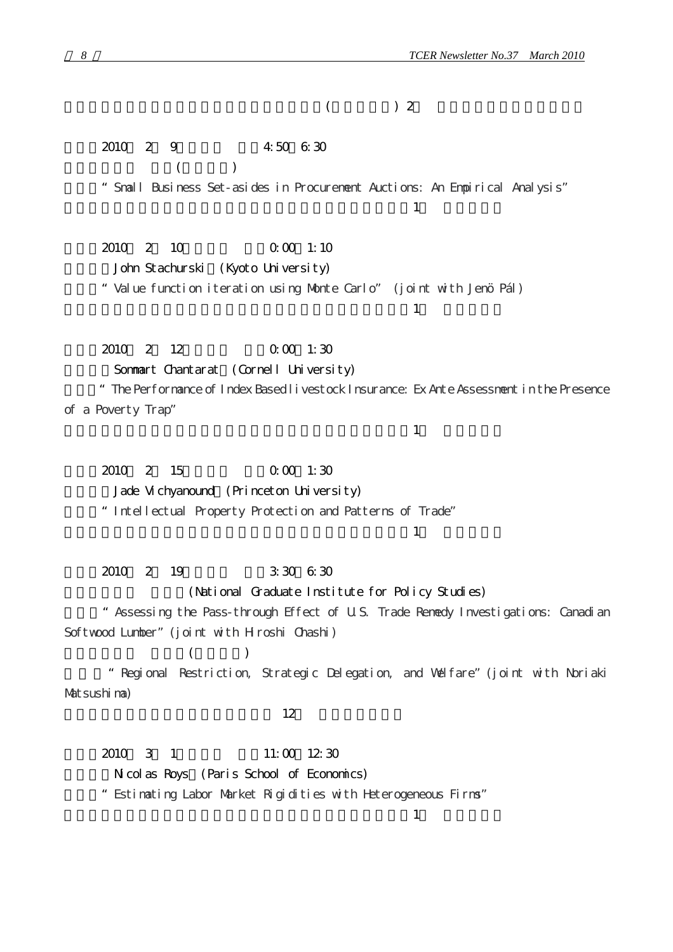2010 2 9 4:50 6:30  $($   $)$ 論題:"Small Business Set-asides in Procurement Auctions: An Empirical Analysis"  $\frac{1}{\sqrt{2\pi}}$ 2010 2 10 0:00 1:10 John Stachurski (Kyoto University) 論題:"Value function iteration using Monte Carlo" (joint with Jenö Pál)  $\frac{1}{\sqrt{2\pi}}$ 2010 2 12 0:00 1:30 Sommart Chantarat (Cornell University) 論題:"The Performance of Index Based livestock Insurance: Ex Ante Assessment in the Presence of a Poverty Trap"  $\pm$ 2010 2 15 0.00 1:30 Jade Vichyanound (Princeton University) 論題:"Intellectual Property Protection and Patterns of Trade"  $\frac{1}{\sqrt{2\pi}}$ 2010 2 19 3:30 6:30 (National Graduate Institute for Policy Studies) 論題:"Assessing the Pass-through Effect of U.S. Trade Remedy Investigations: Canadian Softwood Lumber" (joint with Hroshi Chashi)  $($   $)$ 論題:"Regional Restriction, Strategic Delegation, and Welfare"(joint with Noriaki

 $($   $)$  2

Matsushima)

 $12$ 

2010 3 1 11:00 12:30 Nicolas Roys (Paris School of Economics) 論題:"Estimating Labor Market Rigidities with Heterogeneous Firms"

 $\pm$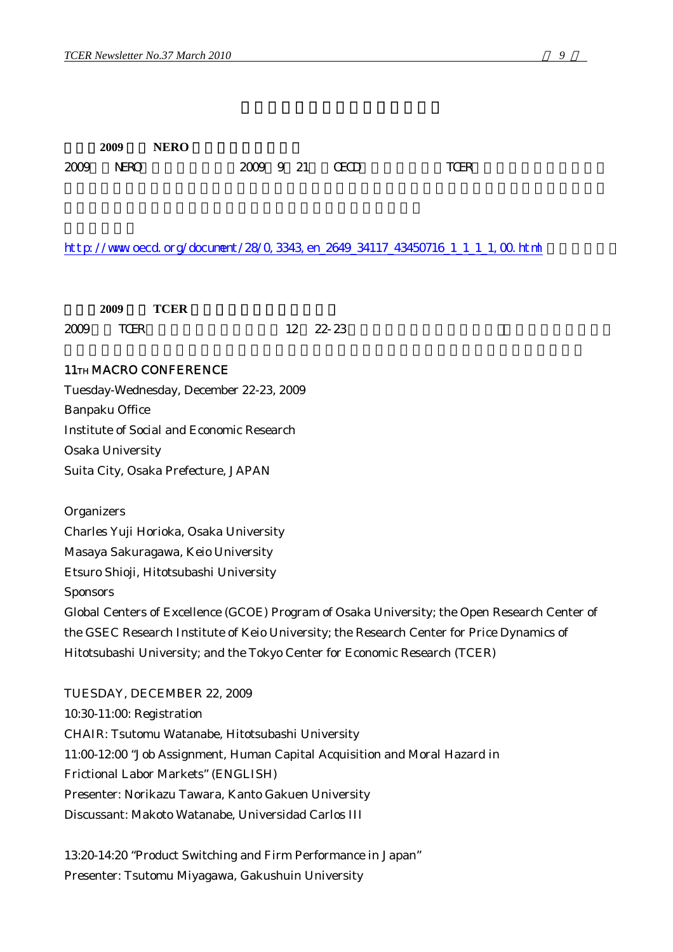|      | 2009 | <b>NERO</b> |  |                |      |  |
|------|------|-------------|--|----------------|------|--|
| 2009 | NERO |             |  | 2009 9 21 CECD | TCER |  |

#### http://www.oecd.org/document/28/0,3343,en\_2649\_34117\_43450716\_1\_1\_1,00.html

|      | 2009 | <b>TCER</b> |                    |
|------|------|-------------|--------------------|
| 2009 | TCER |             | $12 \quad 22 - 23$ |

### 11TH MACRO CONFERENCE

Tuesday-Wednesday, December 22-23, 2009 Banpaku Office Institute of Social and Economic Research Osaka University Suita City, Osaka Prefecture, JAPAN

**Organizers** Charles Yuji Horioka, Osaka University Masaya Sakuragawa, Keio University Etsuro Shioji, Hitotsubashi University Sponsors Global Centers of Excellence (GCOE) Program of Osaka University; the Open Research Center of the GSEC Research Institute of Keio University; the Research Center for Price Dynamics of Hitotsubashi University; and the Tokyo Center for Economic Research (TCER)

TUESDAY, DECEMBER 22, 2009 10:30-11:00: Registration CHAIR: Tsutomu Watanabe, Hitotsubashi University 11:00-12:00 "Job Assignment, Human Capital Acquisition and Moral Hazard in Frictional Labor Markets" (ENGLISH) Presenter: Norikazu Tawara, Kanto Gakuen University Discussant: Makoto Watanabe, Universidad Carlos III

13:20-14:20 "Product Switching and Firm Performance in Japan" Presenter: Tsutomu Miyagawa, Gakushuin University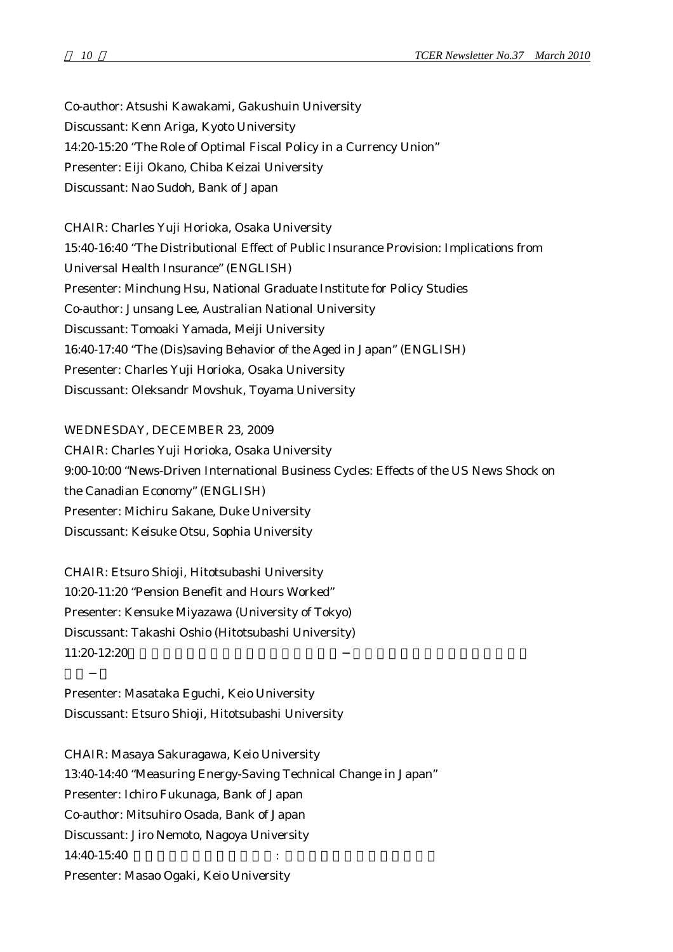Co-author: Atsushi Kawakami, Gakushuin University Discussant: Kenn Ariga, Kyoto University 14:20-15:20 "The Role of Optimal Fiscal Policy in a Currency Union" Presenter: Eiji Okano, Chiba Keizai University Discussant: Nao Sudoh, Bank of Japan

CHAIR: Charles Yuji Horioka, Osaka University 15:40-16:40 "The Distributional Effect of Public Insurance Provision: Implications from Universal Health Insurance" (ENGLISH) Presenter: Minchung Hsu, National Graduate Institute for Policy Studies Co-author: Junsang Lee, Australian National University Discussant: Tomoaki Yamada, Meiji University 16:40-17:40 "The (Dis)saving Behavior of the Aged in Japan" (ENGLISH) Presenter: Charles Yuji Horioka, Osaka University Discussant: Oleksandr Movshuk, Toyama University

WEDNESDAY, DECEMBER 23, 2009 CHAIR: Charles Yuji Horioka, Osaka University 9:00-10:00 "News-Driven International Business Cycles: Effects of the US News Shock on the Canadian Economy" (ENGLISH) Presenter: Michiru Sakane, Duke University Discussant: Keisuke Otsu, Sophia University

CHAIR: Etsuro Shioji, Hitotsubashi University 10:20-11:20 "Pension Benefit and Hours Worked" Presenter: Kensuke Miyazawa (University of Tokyo) Discussant: Takashi Oshio (Hitotsubashi University)  $11:20-12:20$ 

Presenter: Masataka Eguchi, Keio University Discussant: Etsuro Shioji, Hitotsubashi University

CHAIR: Masaya Sakuragawa, Keio University 13:40-14:40 "Measuring Energy-Saving Technical Change in Japan" Presenter: Ichiro Fukunaga, Bank of Japan Co-author: Mitsuhiro Osada, Bank of Japan Discussant: Jiro Nemoto, Nagoya University 14:40-15:40 Presenter: Masao Ogaki, Keio University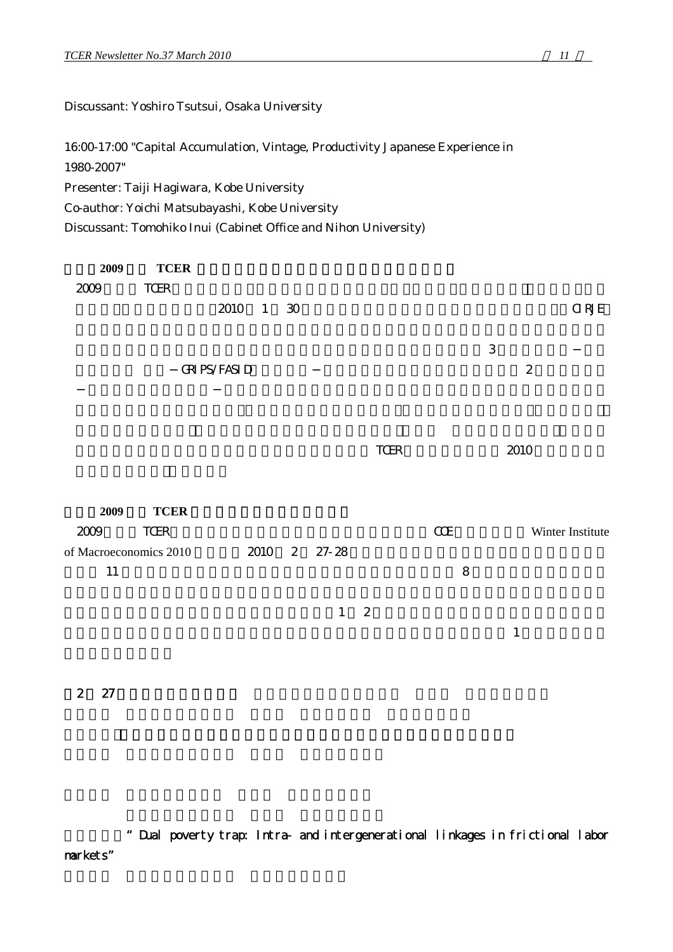Discussant: Yoshiro Tsutsui, Osaka University

16:00-17:00 "Capital Accumulation, Vintage, Productivity Japanese Experience in 1980-2007"

Presenter: Taiji Hagiwara, Kobe University

Co-author: Yoichi Matsubayashi, Kobe University

Discussant: Tomohiko Inui (Cabinet Office and Nihon University)

| 2009                           | <b>TCER</b> |                      |                 |              |                  |           |             |                  |
|--------------------------------|-------------|----------------------|-----------------|--------------|------------------|-----------|-------------|------------------|
| 2009                           | TCER        |                      |                 |              |                  |           |             |                  |
|                                |             | 2010 1               | $\overline{30}$ |              |                  |           |             | $\alpha$ RJE     |
|                                |             |                      |                 |              |                  |           |             |                  |
|                                |             |                      |                 |              |                  |           | $\,3$       |                  |
|                                |             | <b>GRI PS/FASI D</b> |                 |              |                  |           |             | $\boldsymbol{2}$ |
|                                |             |                      |                 |              |                  |           |             |                  |
|                                |             |                      |                 |              |                  |           |             |                  |
|                                |             |                      |                 |              |                  |           |             |                  |
|                                |             |                      |                 |              | TCER             |           | 2010        |                  |
|                                |             |                      |                 |              |                  |           |             |                  |
|                                |             |                      |                 |              |                  |           |             |                  |
| 2009                           | <b>TCER</b> |                      |                 |              |                  |           |             |                  |
| 2009<br>of Macroeconomics 2010 | TCER        |                      |                 |              |                  | $C\!C\!E$ |             | Winter Institute |
| $11\,$                         |             |                      |                 | 2010 2 27-28 |                  | 8         |             |                  |
|                                |             |                      |                 |              |                  |           |             |                  |
|                                |             |                      |                 | $\mathbf{1}$ | $\boldsymbol{2}$ |           |             |                  |
|                                |             |                      |                 |              |                  |           | $\mathbf 1$ |                  |
|                                |             |                      |                 |              |                  |           |             |                  |

【2 月 27 日・午後セッション】 座長:福田慎一(東京大学 大学院 経済学研究科)

報告論文:"Dual poverty trap: Intra- and intergenerational linkages in frictional labor markets"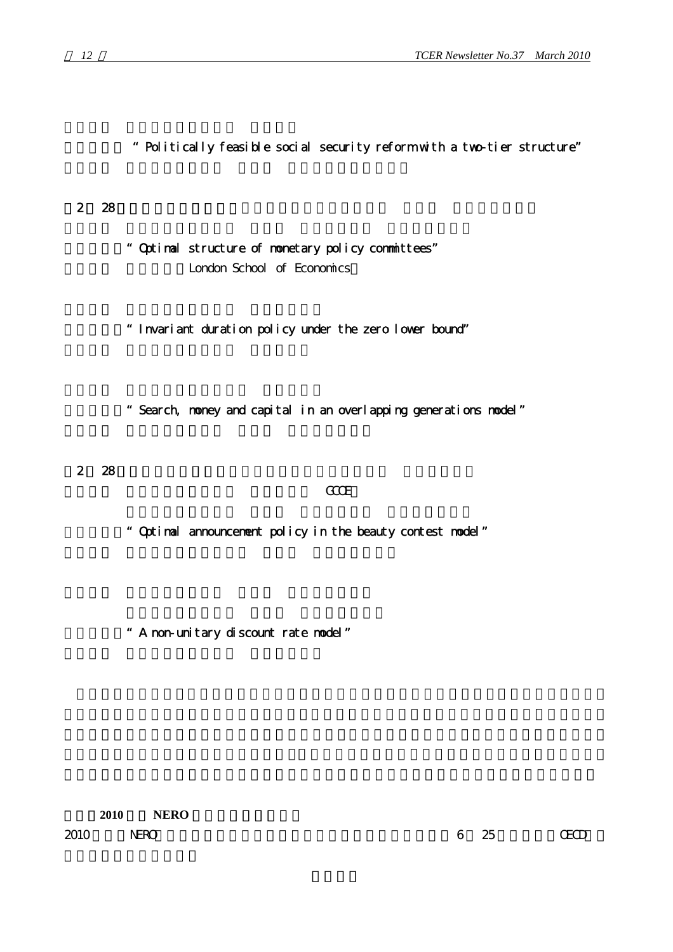- 報告論文: "Politically feasible social security reform with a two-tier structure"
- $2 \t 28$ 
	- 報告論文:"Optimal structure of monetary policy committees" London School of Economics
	- 報告論文:"Invariant duration policy under the zero lower bound"
	- 報告論文:"Search, money and capital in an overlapping generations model"
	- 2 28

#### 報告者: 荒戸寛樹(一橋大学 経済研究所 GCOE)

- 報告論文:"Optimal announcement policy in the beauty contest model"
- 報告論文:"A non-unitary discount rate model"

2010 **NERO** 

2010 NERO 6 25 CECD